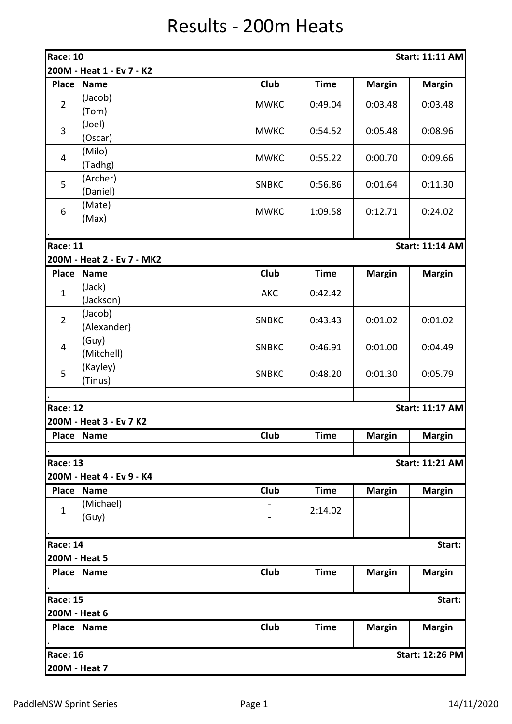## Results - 200m Heats

| <b>Race: 10</b><br><b>Start: 11:11 AM</b> |                            |              |             |               |                        |  |  |  |
|-------------------------------------------|----------------------------|--------------|-------------|---------------|------------------------|--|--|--|
| 200M - Heat 1 - Ev 7 - K2                 |                            |              |             |               |                        |  |  |  |
| <b>Place</b>                              | <b>Name</b>                | Club         | <b>Time</b> | <b>Margin</b> | <b>Margin</b>          |  |  |  |
| $\overline{2}$                            | (Jacob)                    |              |             |               |                        |  |  |  |
|                                           | (Tom)                      | <b>MWKC</b>  | 0:49.04     | 0:03.48       | 0:03.48                |  |  |  |
| 3                                         | (Joel)                     | <b>MWKC</b>  | 0:54.52     | 0:05.48       | 0:08.96                |  |  |  |
|                                           | (Oscar)                    |              |             |               |                        |  |  |  |
| $\overline{4}$                            | (Milo)                     | <b>MWKC</b>  | 0:55.22     | 0:00.70       | 0:09.66                |  |  |  |
|                                           | (Tadhg)                    |              |             |               |                        |  |  |  |
| 5                                         | (Archer)                   | <b>SNBKC</b> | 0:56.86     | 0:01.64       | 0:11.30                |  |  |  |
|                                           | (Daniel)                   |              |             |               |                        |  |  |  |
| 6                                         | (Mate)                     | <b>MWKC</b>  | 1:09.58     | 0:12.71       | 0:24.02                |  |  |  |
|                                           | (Max)                      |              |             |               |                        |  |  |  |
|                                           |                            |              |             |               |                        |  |  |  |
| <b>Race: 11</b>                           |                            |              |             |               | <b>Start: 11:14 AM</b> |  |  |  |
|                                           | 200M - Heat 2 - Ev 7 - MK2 |              |             |               |                        |  |  |  |
| <b>Place</b>                              | <b>Name</b>                | Club         | <b>Time</b> | <b>Margin</b> | <b>Margin</b>          |  |  |  |
| $\mathbf{1}$                              | (Jack)                     | <b>AKC</b>   | 0:42.42     |               |                        |  |  |  |
|                                           | (Jackson)                  |              |             |               |                        |  |  |  |
| $\overline{2}$                            | (Jacob)                    | <b>SNBKC</b> | 0:43.43     | 0:01.02       | 0:01.02                |  |  |  |
|                                           | (Alexander)                |              |             |               |                        |  |  |  |
| $\overline{4}$                            | (Guy)                      | <b>SNBKC</b> | 0:46.91     | 0:01.00       | 0:04.49                |  |  |  |
|                                           | (Mitchell)                 |              |             |               |                        |  |  |  |
| 5                                         | (Kayley)                   | <b>SNBKC</b> | 0:48.20     | 0:01.30       | 0:05.79                |  |  |  |
|                                           | (Tinus)                    |              |             |               |                        |  |  |  |
|                                           |                            |              |             |               |                        |  |  |  |
| <b>Race: 12</b>                           |                            |              |             |               | <b>Start: 11:17 AM</b> |  |  |  |
|                                           | 200M - Heat 3 - Ev 7 K2    |              |             |               |                        |  |  |  |
| <b>Place</b>                              | <b>Name</b>                | Club         | <b>Time</b> | <b>Margin</b> | <b>Margin</b>          |  |  |  |
|                                           |                            |              |             |               |                        |  |  |  |
| <b>Race: 13</b><br><b>Start: 11:21 AM</b> |                            |              |             |               |                        |  |  |  |
|                                           | 200M - Heat 4 - Ev 9 - K4  |              |             |               |                        |  |  |  |
| <b>Place</b>                              | <b>Name</b>                | Club         | <b>Time</b> | <b>Margin</b> | <b>Margin</b>          |  |  |  |
| $\mathbf{1}$                              | (Michael)                  |              | 2:14.02     |               |                        |  |  |  |
|                                           | (Guy)                      |              |             |               |                        |  |  |  |
|                                           |                            |              |             |               |                        |  |  |  |
| <b>Race: 14</b>                           |                            |              |             |               | Start:                 |  |  |  |
| 200M - Heat 5                             |                            |              |             |               |                        |  |  |  |
| <b>Place</b>                              | <b>Name</b>                | Club         | <b>Time</b> | <b>Margin</b> | <b>Margin</b>          |  |  |  |
|                                           |                            |              |             |               |                        |  |  |  |
| <b>Race: 15</b><br>Start:                 |                            |              |             |               |                        |  |  |  |
| 200M - Heat 6                             |                            |              |             |               |                        |  |  |  |
| <b>Place</b>                              | <b>Name</b>                | Club         | <b>Time</b> | <b>Margin</b> | <b>Margin</b>          |  |  |  |
|                                           |                            |              |             |               |                        |  |  |  |
| <b>Start: 12:26 PM</b><br><b>Race: 16</b> |                            |              |             |               |                        |  |  |  |
| 200M - Heat 7                             |                            |              |             |               |                        |  |  |  |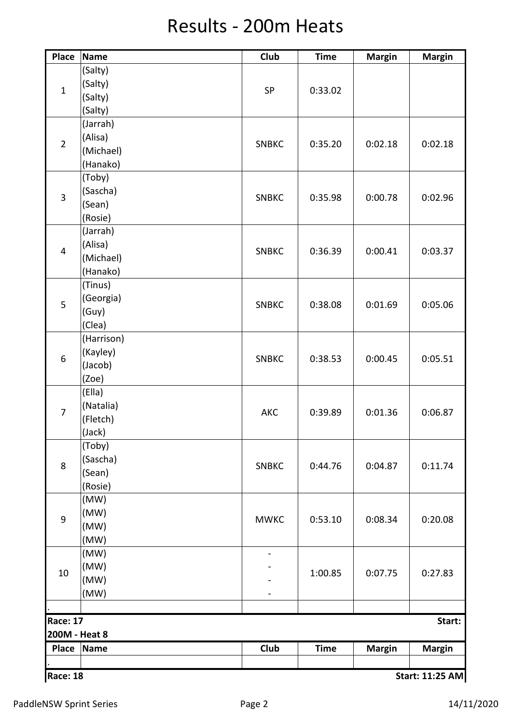## Results - 200m Heats

| <b>Place</b>                       | <b>Name</b>          | Club         | <b>Time</b> | <b>Margin</b> | <b>Margin</b> |  |  |
|------------------------------------|----------------------|--------------|-------------|---------------|---------------|--|--|
|                                    | (Salty)              |              |             |               |               |  |  |
| $\mathbf{1}$<br>$\overline{2}$     | (Salty)              | <b>SP</b>    | 0:33.02     |               |               |  |  |
|                                    | (Salty)              |              |             |               |               |  |  |
|                                    | (Salty)              |              |             |               |               |  |  |
|                                    | (Jarrah)             |              |             |               |               |  |  |
|                                    | (Alisa)              | <b>SNBKC</b> | 0:35.20     | 0:02.18       | 0:02.18       |  |  |
|                                    | (Michael)            |              |             |               |               |  |  |
| $\overline{3}$                     | (Hanako)             |              |             |               |               |  |  |
|                                    | (Toby)               |              |             |               |               |  |  |
|                                    | (Sascha)             | <b>SNBKC</b> | 0:35.98     | 0:00.78       | 0:02.96       |  |  |
|                                    | (Sean)               |              |             |               |               |  |  |
|                                    | (Rosie)              |              |             |               |               |  |  |
|                                    | (Jarrah)             |              |             |               |               |  |  |
| $\overline{4}$                     | (Alisa)              | <b>SNBKC</b> | 0:36.39     | 0:00.41       | 0:03.37       |  |  |
|                                    | (Michael)            |              |             |               |               |  |  |
|                                    | (Hanako)             |              |             |               |               |  |  |
|                                    | (Tinus)              |              |             |               |               |  |  |
| 5                                  | (Georgia)            | <b>SNBKC</b> | 0:38.08     | 0:01.69       | 0:05.06       |  |  |
|                                    | (Guy)                |              |             |               |               |  |  |
|                                    | (Clea)<br>(Harrison) |              |             |               |               |  |  |
|                                    | (Kayley)             |              |             |               |               |  |  |
| 6                                  | (Jacob)              | <b>SNBKC</b> | 0:38.53     | 0:00.45       | 0:05.51       |  |  |
|                                    | (2oe)                |              |             |               |               |  |  |
|                                    | (Ella)               |              |             |               |               |  |  |
|                                    | (Natalia)            |              |             |               |               |  |  |
| $\overline{7}$                     | (Fletch)             | <b>AKC</b>   | 0:39.89     | 0:01.36       | 0:06.87       |  |  |
| 8                                  | (Jack)               |              |             |               |               |  |  |
|                                    | (Toby)               |              |             |               |               |  |  |
|                                    | (Sascha)             |              |             |               |               |  |  |
|                                    | (Sean)               | <b>SNBKC</b> | 0:44.76     | 0:04.87       | 0:11.74       |  |  |
| 9                                  | (Rosie)              |              |             |               |               |  |  |
|                                    | (MW)                 |              |             |               |               |  |  |
|                                    | (MW)                 | <b>MWKC</b>  | 0:53.10     | 0:08.34       | 0:20.08       |  |  |
|                                    | (MW)                 |              |             |               |               |  |  |
|                                    | (MW)                 |              |             |               |               |  |  |
| 10                                 | (MW)                 |              |             |               |               |  |  |
|                                    | (MW)                 |              | 1:00.85     | 0:07.75       | 0:27.83       |  |  |
|                                    | (MW)                 |              |             |               |               |  |  |
|                                    | (MW)                 |              |             |               |               |  |  |
|                                    |                      |              |             |               |               |  |  |
| <b>Race: 17</b><br>Start:          |                      |              |             |               |               |  |  |
| 200M - Heat 8                      |                      |              |             |               |               |  |  |
| <b>Place</b>                       | <b>Name</b>          | Club         | <b>Time</b> | <b>Margin</b> | <b>Margin</b> |  |  |
| Race: 18<br><b>Start: 11:25 AM</b> |                      |              |             |               |               |  |  |